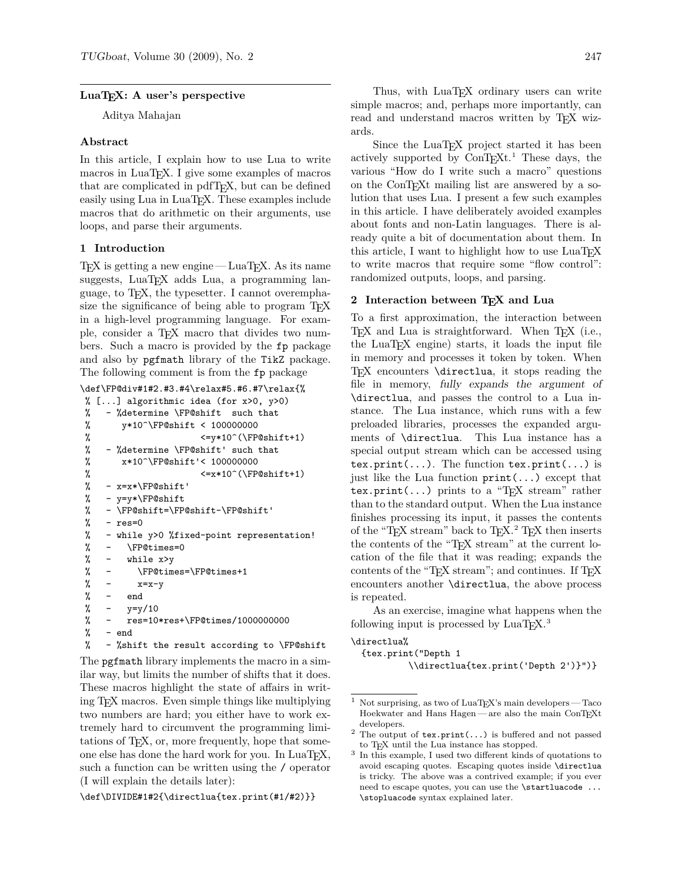# LuaT<sub>E</sub>X: A user's perspective

Aditya Mahajan

### **Abstract**

In this article, I explain how to use Lua to write macros in LuaT<sub>EX</sub>. I give some examples of macros that are complicated in pdfT<sub>E</sub>X, but can be defined easily using Lua in LuaT<sub>EX</sub>. These examples include macros that do arithmetic on their arguments, use loops, and parse their arguments.

### **1 Introduction**

 $T_F X$  is getting a new engine — LuaT<sub>F</sub>X. As its name suggests, LuaT<sub>E</sub>X adds Lua, a programming language, to TEX, the typesetter. I cannot overemphasize the significance of being able to program TEX in a high-level programming language. For example, consider a TEX macro that divides two numbers. Such a macro is provided by the fp package and also by pgfmath library of the TikZ package. The following comment is from the fp package

```
\def\FP@div#1#2.#3.#4\relax#5.#6.#7\relax{%
```

```
% [...] algorithmic idea (for x>0, y>0)
% - %determine \FP@shift such that
% y*10^\FP@shift < 100000000
% <=y*10^(\FP@shift+1)
% - %determine \FP@shift' such that
% x*10^\FP@shift'< 100000000
% \langle \langle \rangle \langle \langle \rangle \langle \rangle \langle \rangle \langle \rangle \langle \rangle \langle \rangle \langle \rangle \langle \rangle \langle \rangle \langle \rangle \langle \rangle \langle \rangle \langle \rangle \langle \rangle \langle \rangle \langle \rangle \langle \rangle \langle \rangle \langle \rangle \langle \rangle% - x=x*\FP@shift'
% - y=y*\FP@shift
% - \FP@shift=\FP@shift-\FP@shift'
% - res=0% - while y>0 %fixed-point representation!
% - \FP@times=0
% - while x>y
% - \FP@times=\FP@times+1
\% - x=x-y% - end
\frac{\%}{\%} - \frac{v = v}{10}% - res=10*res+\FP@times/1000000000
% - end% - %shift the result according to \FP@shift
```
The pgfmath library implements the macro in a similar way, but limits the number of shifts that it does. These macros highlight the state of affairs in writing TEX macros. Even simple things like multiplying two numbers are hard; you either have to work extremely hard to circumvent the programming limitations of TEX, or, more frequently, hope that someone else has done the hard work for you. In LuaT<sub>E</sub>X, such a function can be written using the / operator (I will explain the details later):

\def\DIVIDE#1#2{\directlua{tex.print(#1/#2)}}

Thus, with LuaT<sub>E</sub>X ordinary users can write simple macros; and, perhaps more importantly, can read and understand macros written by T<sub>E</sub>X wizards.

Since the LuaT<sub>EX</sub> project started it has been actively supported by  $ConTr X t$ .<sup>1</sup> These days, the various "How do I write such a macro" questions on the ConTEXt mailing list are answered by a solution that uses Lua. I present a few such examples in this article. I have deliberately avoided examples about fonts and non-Latin languages. There is already quite a bit of documentation about them. In this article, I want to highlight how to use  $LuaT<sub>F</sub>X$ to write macros that require some "flow control": randomized outputs, loops, and parsing.

# 2 Interaction between T<sub>E</sub>X and Lua

To a first approximation, the interaction between T<sub>E</sub>X and Lua is straightforward. When T<sub>E</sub>X (i.e., the LuaTEX engine) starts, it loads the input file in memory and processes it token by token. When TEX encounters \directlua, it stops reading the file in memory, *fully expands the argument of* \directlua, and passes the control to a Lua instance. The Lua instance, which runs with a few preloaded libraries, processes the expanded arguments of \directlua. This Lua instance has a special output stream which can be accessed using tex.print $(\ldots)$ . The function tex.print $(\ldots)$  is just like the Lua function  $print(\ldots)$  except that tex.print(...) prints to a "T<sub>E</sub>X stream" rather than to the standard output. When the Lua instance finishes processing its input, it passes the contents of the "TEX stream" back to  $TEX.2$  TEX then inserts the contents of the "TEX stream" at the current location of the file that it was reading; expands the contents of the "TEX stream"; and continues. If TEX encounters another \directlua, the above process is repeated.

As an exercise, imagine what happens when the following input is processed by  $LuaT_FX$ .<sup>3</sup>

```
\directlua%
```
{tex.print("Depth 1 \\directlua{tex.print('Depth 2')}")}

 $^{\rm 1}$  Not surprising, as two of LuaT<sub>E</sub>X's main developers — Taco Hoekwater and Hans Hagen — are also the main ConTEXt developers.

<sup>&</sup>lt;sup>2</sup> The output of  $text{tex}$ ...) is buffered and not passed to TEX until the Lua instance has stopped.

<sup>3</sup> In this example, I used two different kinds of quotations to avoid escaping quotes. Escaping quotes inside \directlua is tricky. The above was a contrived example; if you ever need to escape quotes, you can use the \startluacode ... \stopluacode syntax explained later.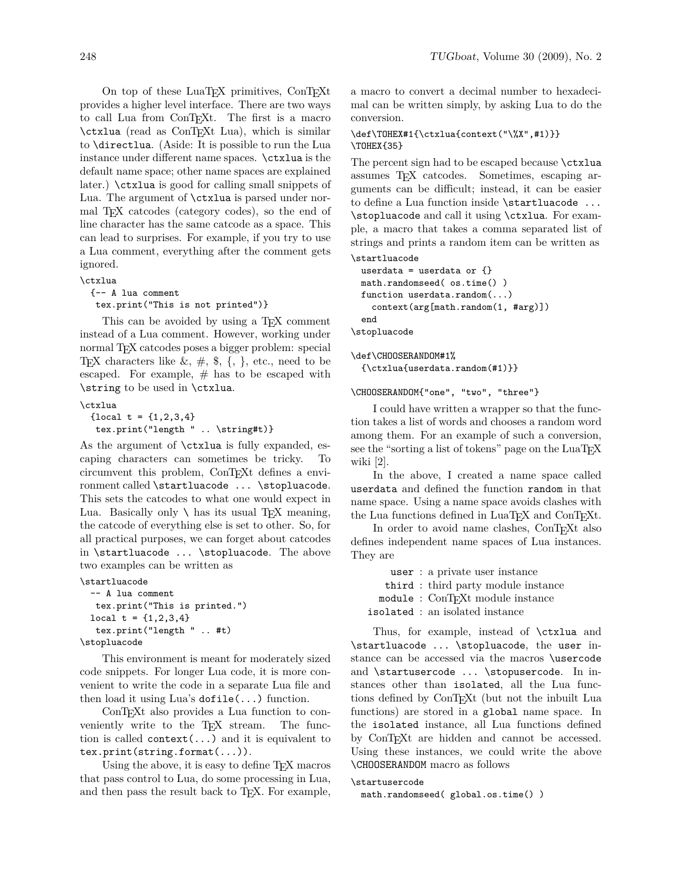On top of these LuaT<sub>E</sub>X primitives, ConT<sub>E</sub>Xt provides a higher level interface. There are two ways to call Lua from ConTEXt. The first is a macro  $\text{c}$ txlua (read as ConT<sub>EX</sub>t Lua), which is similar to \directlua. (Aside: It is possible to run the Lua instance under different name spaces. \ctxlua is the default name space; other name spaces are explained later.) \ctxlua is good for calling small snippets of Lua. The argument of \ctxlua is parsed under normal T<sub>EX</sub> catcodes (category codes), so the end of line character has the same catcode as a space. This can lead to surprises. For example, if you try to use a Lua comment, everything after the comment gets ignored.

```
\ctxlua
```
{-- A lua comment tex.print("This is not printed")}

This can be avoided by using a T<sub>E</sub>X comment instead of a Lua comment. However, working under normal TEX catcodes poses a bigger problem: special T<sub>E</sub>X characters like  $\&$ ,  $\#$ ,  $\$\,$ ,  $\{$ ,  $\}$ , etc., need to be escaped. For example,  $#$  has to be escaped with \string to be used in \ctxlua.

\ctxlua

{local  $t = \{1, 2, 3, 4\}$ tex.print("length " .. \string#t)}

As the argument of \ctxlua is fully expanded, escaping characters can sometimes be tricky. To circumvent this problem, ConT<sub>E</sub>Xt defines a environment called \startluacode ... \stopluacode. This sets the catcodes to what one would expect in Lua. Basically only  $\setminus$  has its usual T<sub>E</sub>X meaning, the catcode of everything else is set to other. So, for all practical purposes, we can forget about catcodes in \startluacode ... \stopluacode. The above two examples can be written as

\startluacode

```
-- A lua comment
 tex.print("This is printed.")
local t = \{1, 2, 3, 4\}tex.print("length " .. #t)
```
\stopluacode

This environment is meant for moderately sized code snippets. For longer Lua code, it is more convenient to write the code in a separate Lua file and then load it using Lua's dofile(...) function.

ConT<sub>E</sub>X<sup>t</sup> also provides a Lua function to conveniently write to the T<sub>EX</sub> stream. The function is called  $context(\ldots)$  and it is equivalent to tex.print(string.format(...)).

Using the above, it is easy to define T<sub>E</sub>X macros that pass control to Lua, do some processing in Lua, and then pass the result back to T<sub>E</sub>X. For example, a macro to convert a decimal number to hexadecimal can be written simply, by asking Lua to do the conversion.

## \def\TOHEX#1{\ctxlua{context("\%X",#1)}} \TOHEX{35}

The percent sign had to be escaped because \ctxlua assumes TEX catcodes. Sometimes, escaping arguments can be difficult; instead, it can be easier to define a Lua function inside \startluacode ... \stopluacode and call it using \ctxlua. For example, a macro that takes a comma separated list of strings and prints a random item can be written as \startluacode

```
userdata = userdata or \{\}math.randomseed( os.time() )
function userdata.random(...)
  context(arg[math.random(1, #arg)])
end
```
\stopluacode

\def\CHOOSERANDOM#1% {\ctxlua{userdata.random(#1)}}

\CHOOSERANDOM{"one", "two", "three"}

I could have written a wrapper so that the function takes a list of words and chooses a random word among them. For an example of such a conversion, see the "sorting a list of tokens" page on the LuaT<sub>EX</sub> wiki [2].

In the above, I created a name space called userdata and defined the function random in that name space. Using a name space avoids clashes with the Lua functions defined in LuaT<sub>E</sub>X and ConT<sub>E</sub>X<sub>t</sub>.

In order to avoid name clashes, ConT<sub>EXt</sub> also defines independent name spaces of Lua instances. They are

> user : a private user instance third : third party module instance module : ConTEXt module instance

isolated : an isolated instance

Thus, for example, instead of \ctxlua and \startluacode ... \stopluacode, the user instance can be accessed via the macros \usercode and \startusercode ... \stopusercode. In instances other than isolated, all the Lua functions defined by ConTEXt (but not the inbuilt Lua functions) are stored in a global name space. In the isolated instance, all Lua functions defined by ConT<sub>E</sub>X<sup>t</sup> are hidden and cannot be accessed. Using these instances, we could write the above \CHOOSERANDOM macro as follows

## \startusercode

math.randomseed( global.os.time() )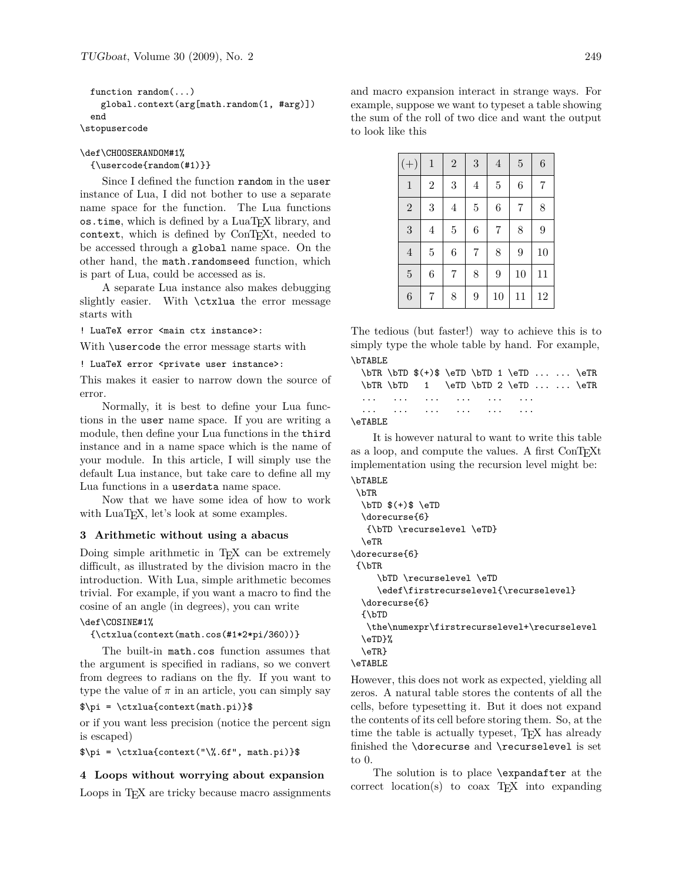function random(...) global.context(arg[math.random(1, #arg)]) end \stopusercode

\def\CHOOSERANDOM#1%

{\usercode{random(#1)}}

Since I defined the function random in the user instance of Lua, I did not bother to use a separate name space for the function. The Lua functions os.time, which is defined by a LuaTEX library, and context, which is defined by ConT<sub>EXt</sub>, needed to be accessed through a global name space. On the other hand, the math.randomseed function, which is part of Lua, could be accessed as is.

A separate Lua instance also makes debugging slightly easier. With \ctxlua the error message starts with

! LuaTeX error <main ctx instance>:

With \usercode the error message starts with

! LuaTeX error <private user instance>:

This makes it easier to narrow down the source of error.

Normally, it is best to define your Lua functions in the user name space. If you are writing a module, then define your Lua functions in the third instance and in a name space which is the name of your module. In this article, I will simply use the default Lua instance, but take care to define all my Lua functions in a userdata name space.

Now that we have some idea of how to work with LuaT<sub>E</sub>X, let's look at some examples.

### **3 Arithmetic without using a abacus**

Doing simple arithmetic in T<sub>E</sub>X can be extremely difficult, as illustrated by the division macro in the introduction. With Lua, simple arithmetic becomes trivial. For example, if you want a macro to find the cosine of an angle (in degrees), you can write

#### \def\COSINE#1%

{\ctxlua(context(math.cos(#1\*2\*pi/360))}

The built-in math.cos function assumes that the argument is specified in radians, so we convert from degrees to radians on the fly. If you want to type the value of  $\pi$  in an article, you can simply say

#### $\pi = \ctxlua{context(math.pi)}$

or if you want less precision (notice the percent sign is escaped)

 $\pi = \ctxlua{context("\\", 6f", math.pi)}$ 

#### **4 Loops without worrying about expansion**

Loops in T<sub>E</sub>X are tricky because macro assignments

and macro expansion interact in strange ways. For example, suppose we want to typeset a table showing the sum of the roll of two dice and want the output to look like this

| $^{(+)}$         | $\,1$          | $\overline{2}$ | $\overline{3}$ | $\overline{4}$ | $\overline{5}$ | $\,6$          |
|------------------|----------------|----------------|----------------|----------------|----------------|----------------|
| $\,1$            | $\overline{2}$ | 3              | $\overline{4}$ | $\overline{5}$ | 6              | $\overline{7}$ |
| $\overline{2}$   | $\overline{3}$ | $\overline{4}$ | $\overline{5}$ | $\overline{6}$ | $\overline{7}$ | 8              |
| 3                | $\overline{4}$ | $\overline{5}$ | $\overline{6}$ | $\overline{7}$ | 8              | 9              |
| $\overline{4}$   | $\overline{5}$ | 6              | $\overline{7}$ | 8              | 9              | 10             |
| $\overline{5}$   | 6              | $\overline{7}$ | 8              | 9              | 10             | 11             |
| $\boldsymbol{6}$ | $\overline{7}$ | 8              | 9              | 10             | 11             | 12             |

The tedious (but faster!) way to achieve this is to simply type the whole table by hand. For example, \bTABLE

 $\bTR \bTD \$   $(+) \$   $\eTD \$  1 \eTD ... ... \eTR  $\bTR \bTD$  1  $\eTD \bTD$  2  $\eTD \ldots$  ...  $\eTR$ ... ... ... ... ... ... ... ... ... ... ... ... ... ... ... ...

# \eTABLE

It is however natural to want to write this table as a loop, and compute the values. A first ConTEXt implementation using the recursion level might be: \bTABLE

#### \bTR

```
\bTD $(+)$ \eTD
  \dorecurse{6}
   {\bTD \recurselevel \eTD}
  \eTR
\dorecurse{6}
 {\bTR
     \bTD \recurselevel \eTD
     \edef\firstrecurselevel{\recurselevel}
  \dorecurse{6}
  {\bTD
   \the\numexpr\firstrecurselevel+\recurselevel
  \eTD}%
  \eTR}
\eTABLE
```
However, this does not work as expected, yielding all zeros. A natural table stores the contents of all the cells, before typesetting it. But it does not expand the contents of its cell before storing them. So, at the time the table is actually typeset, T<sub>E</sub>X has already finished the \dorecurse and \recurselevel is set to 0.

The solution is to place \expandafter at the  $correct$  location(s) to coax  $T<sub>F</sub>X$  into expanding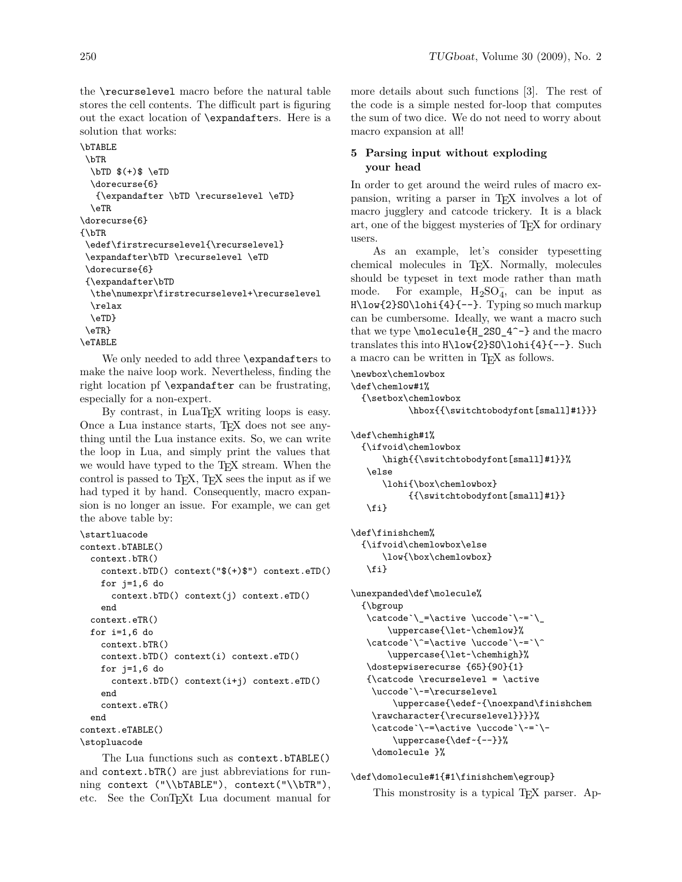the \recurselevel macro before the natural table stores the cell contents. The difficult part is figuring out the exact location of \expandafters. Here is a solution that works:

```
\bTABLE
 \bTR
 \bTD $(+)$ \eTD\dorecurse{6}
  {\expandafter \bTD \recurselevel \eTD}
  \eTR
\dorecurse{6}
{\bTR
\edef\firstrecurselevel{\recurselevel}
\expandafter\bTD \recurselevel \eTD
\dorecurse{6}
{\expandafter\bTD
 \the\numexpr\firstrecurselevel+\recurselevel
 \relax
 \eTD}
\eTR}
\eTABLE
```
We only needed to add three \expandafters to make the naive loop work. Nevertheless, finding the right location pf \expandafter can be frustrating, especially for a non-expert.

By contrast, in LuaTEX writing loops is easy. Once a Lua instance starts, TEX does not see anything until the Lua instance exits. So, we can write the loop in Lua, and simply print the values that we would have typed to the TEX stream. When the control is passed to TEX, TEX sees the input as if we had typed it by hand. Consequently, macro expansion is no longer an issue. For example, we can get the above table by:

```
\startluacode
context.bTABLE()
  context.bTR()
    context.bTD() context("$(+)$") context.eTD()
    for j=1,6 do
      context.bTD() context(j) context.eTD()
    end
 context.eTR()
 for i=1,6 do
   context.bTR()
    context.bTD() context(i) context.eTD()
    for j=1,6 do
      context.bTD() context(i+j) context.eTD()
    end
    context.eTR()
 end
context.eTABLE()
\stopluacode
```
The Lua functions such as context.bTABLE() and context.bTR() are just abbreviations for running context ("\\bTABLE"), context("\\bTR"), etc. See the ConTEXt Lua document manual for more details about such functions [3]. The rest of the code is a simple nested for-loop that computes the sum of two dice. We do not need to worry about macro expansion at all!

# **5 Parsing input without exploding your head**

In order to get around the weird rules of macro expansion, writing a parser in TEX involves a lot of macro jugglery and catcode trickery. It is a black art, one of the biggest mysteries of TEX for ordinary users.

As an example, let's consider typesetting chemical molecules in TEX. Normally, molecules should be typeset in text mode rather than math mode. For example,  $H_2SO_4^-$ , can be input as H\low{2}SO\lohi{4}{--}. Typing so much markup can be cumbersome. Ideally, we want a macro such that we type \molecule{H\_2SO\_4^-} and the macro translates this into H\low{2}SO\lohi{4}{--}. Such a macro can be written in T<sub>E</sub>X as follows.

```
\newbox\chemlowbox
```

```
\def\chemlow#1%
```

```
{\setbox\chemlowbox
```

```
\hbox{{\switchtobodyfont[small]#1}}}
```

```
\def\chemhigh#1%
```

```
{\ifvoid\chemlowbox
    \high{{\switchtobodyfont[small]#1}}%
\else
    \lohi{\box\chemlowbox}
         {{\switchtobodyfont[small]#1}}
\fi}
```

```
\def\finishchem%
```

```
{\ifvoid\chemlowbox\else
    \low{\box\chemlowbox}
 \fi}
```

```
\unexpanded\def\molecule%
  {\bgroup
   \catcode`\_=\active \uccode`\~=`\_
       \uppercase{\let~\chemlow}%
   \catcode`\^=\active \uccode`\~=`\^
       \uppercase{\let~\chemhigh}%
   \dostepwiserecurse {65}{90}{1}
   {\catcode \recurselevel = \active
    \uccode`\~=\recurselevel
        \uppercase{\edef~{\noexpand\finishchem
    \rawcharacter{\recurselevel}}}}%
    \catcode`\-=\active \uccode`\~=`\-
        \uppercase{\def~{--}}%
    \domolecule }%
```
\def\domolecule#1{#1\finishchem\egroup}

This monstrosity is a typical T<sub>E</sub>X parser. Ap-